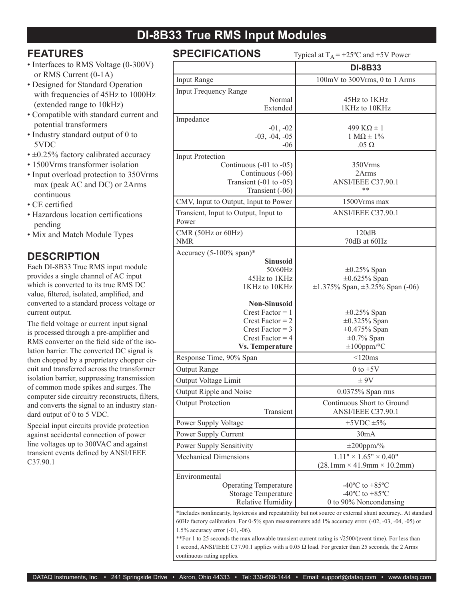# **DI-8B33 True RMS Input Modules**

## **FEATURES**

- Interfaces to RMS Voltage (0-300V) or RMS Current (0-1A)
- Designed for Standard Operation with frequencies of 45Hz to 1000Hz (extended range to 10kHz)
- Compatible with standard current and potential transformers
- Industry standard output of 0 to 5VDC
- $\cdot \pm 0.25\%$  factory calibrated accuracy
- 1500Vrms transformer isolation
- Input overload protection to 350Vrms max (peak AC and DC) or 2Arms continuous
- CE certified
- Hazardous location certifications pending
- Mix and Match Module Types

#### **DESCRIPTION**

Each DI-8B33 True RMS input module provides a single channel of AC input which is converted to its true RMS DC value, filtered, isolated, amplified, and converted to a standard process voltage or current output.

The field voltage or current input signal is processed through a pre-amplifier and RMS converter on the field side of the isolation barrier. The converted DC signal is then chopped by a proprietary chopper circuit and transferred across the transformer isolation barrier, suppressing transmission of common mode spikes and surges. The computer side circuitry reconstructs, filters, and converts the signal to an industry standard output of 0 to 5 VDC.

Special input circuits provide protection against accidental connection of power line voltages up to 300VAC and against transient events defined by ANSI/IEEE C37.90.1

|  |  |  | <b>SPECIFICATIONS</b> |  |  |  |
|--|--|--|-----------------------|--|--|--|
|  |  |  |                       |  |  |  |

Typical at  $T_A = +25\degree C$  and  $+5V$  Power

|                                                            | r y pivar at $FA$<br>$120$ C and $10$ V I OWER                                                             |
|------------------------------------------------------------|------------------------------------------------------------------------------------------------------------|
|                                                            | <b>DI-8B33</b>                                                                                             |
| <b>Input Range</b>                                         | 100mV to 300Vrms, 0 to 1 Arms                                                                              |
| <b>Input Frequency Range</b>                               |                                                                                                            |
| Normal                                                     | 45Hz to 1KHz                                                                                               |
| Extended                                                   | 1KHz to 10KHz                                                                                              |
| Impedance<br>$-01, -02$                                    | $499 K\Omega \pm 1$                                                                                        |
| $-03, -04, -05$                                            | $1 M\Omega \pm 1\%$                                                                                        |
| $-06$                                                      | $.05 \Omega$                                                                                               |
| <b>Input Protection</b>                                    |                                                                                                            |
| Continuous $(-01 \text{ to } -05)$                         | 350Vrms                                                                                                    |
| Continuous (-06)                                           | 2Arms<br>ANSI/IEEE C37.90.1                                                                                |
| Transient $(-01 \text{ to } -05)$<br>Transient (-06)       | **                                                                                                         |
| CMV, Input to Output, Input to Power                       | 1500 Vrms max                                                                                              |
| Transient, Input to Output, Input to                       | ANSI/IEEE C37.90.1                                                                                         |
| Power                                                      |                                                                                                            |
| CMR (50Hz or 60Hz)                                         | 120dB                                                                                                      |
| <b>NMR</b>                                                 | 70dB at 60Hz                                                                                               |
| Accuracy $(5-100\% \text{ span})^*$                        |                                                                                                            |
| <b>Sinusoid</b><br>50/60Hz                                 | $\pm 0.25\%$ Span                                                                                          |
| 45Hz to 1KHz                                               | $\pm 0.625\%$ Span                                                                                         |
| 1KHz to 10KHz                                              | $\pm 1.375\%$ Span, $\pm 3.25\%$ Span (-06)                                                                |
|                                                            |                                                                                                            |
| <b>Non-Sinusoid</b>                                        |                                                                                                            |
| Crest Factor $= 1$<br>Crest Factor $= 2$                   | $\pm 0.25\%$ Span<br>$\pm 0.325\%$ Span                                                                    |
| Crest Factor = $3$                                         | $\pm 0.475\%$ Span                                                                                         |
| Crest Factor = $4$                                         | $\pm 0.7\%$ Span                                                                                           |
| <b>Vs. Temperature</b>                                     | $\pm 100$ ppm/°C                                                                                           |
| Response Time, 90% Span                                    | $< 120$ ms                                                                                                 |
| Output Range                                               | $0$ to $+5V$                                                                                               |
| Output Voltage Limit                                       | $\pm 9V$                                                                                                   |
| Output Ripple and Noise                                    | 0.0375% Span rms                                                                                           |
| <b>Output Protection</b>                                   | Continuous Short to Ground                                                                                 |
| Transient                                                  | ANSI/IEEE C37.90.1                                                                                         |
| Power Supply Voltage                                       | $+5$ VDC $\pm$ 5%                                                                                          |
| Power Supply Current                                       | 30mA                                                                                                       |
| Power Supply Sensitivity                                   | $\pm 200$ ppm/%                                                                                            |
| <b>Mechanical Dimensions</b>                               | $1.11" \times 1.65" \times 0.40"$                                                                          |
|                                                            | $(28.1 \text{mm} \times 41.9 \text{mm} \times 10.2 \text{mm})$                                             |
| Environmental                                              | -40 $^{\circ}$ C to +85 $^{\circ}$ C                                                                       |
| <b>Operating Temperature</b><br><b>Storage Temperature</b> | -40 $^{\circ}$ C to +85 $^{\circ}$ C                                                                       |
| <b>Relative Humidity</b>                                   | 0 to 90% Noncondensing                                                                                     |
|                                                            | *Includes nonlinearity, hysteresis and repeatability but not source or external shunt accuracy At standard |
|                                                            | 60Hz factory calibration. For 0-5% span measurements add 1% accuracy error. (-02, -03, -04, -05) or        |

1.5% accuracy error (-01, -06).

\*\*For 1 to 25 seconds the max allowable transient current rating is √2500/(event time). For less than 1 second, ANSI/IEEE C37.90.1 applies with a 0.05  $\Omega$  load. For greater than 25 seconds, the 2 Arms continuous rating applies.